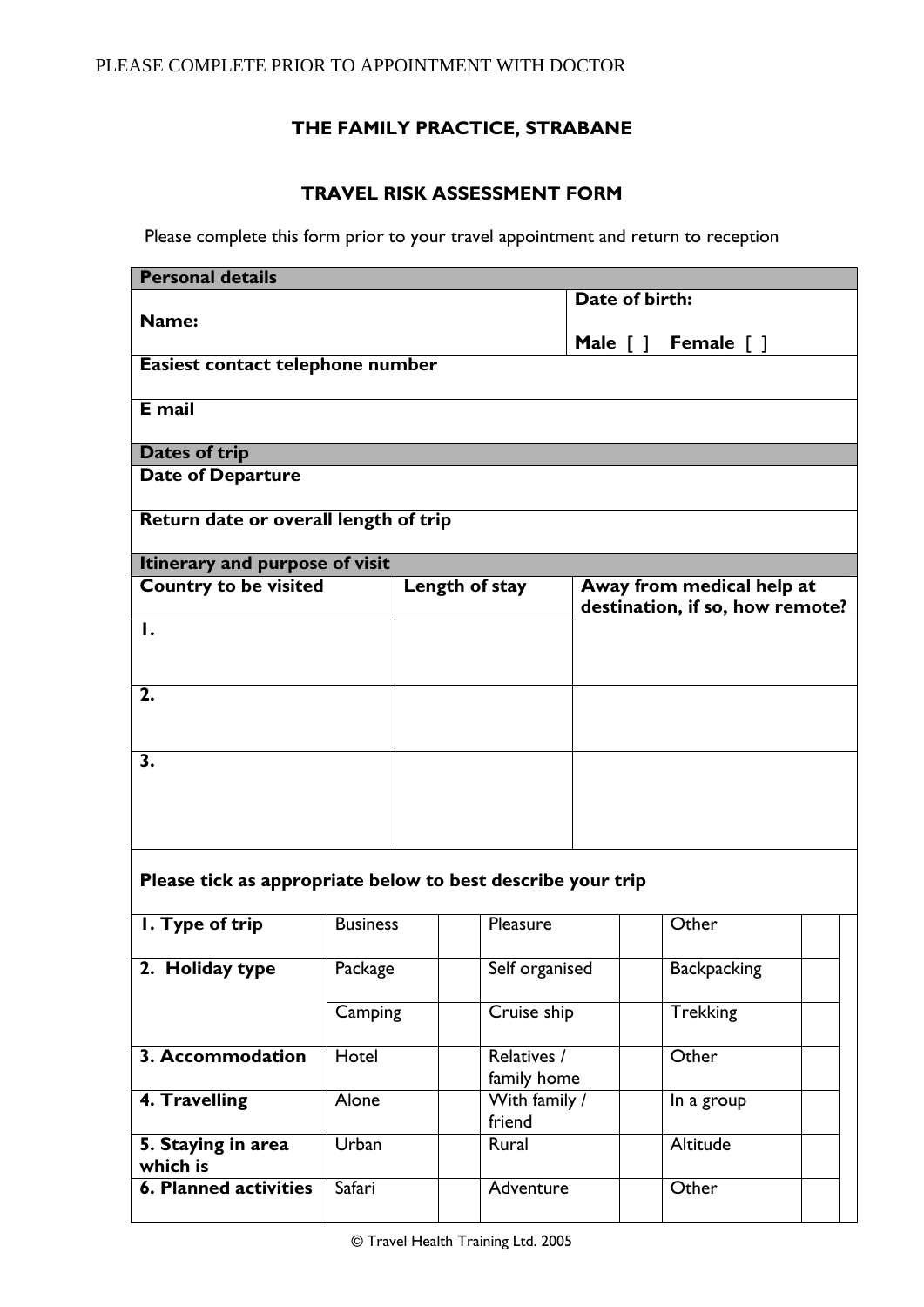# **THE FAMILY PRACTICE, STRABANE**

# **TRAVEL RISK ASSESSMENT FORM**

Please complete this form prior to your travel appointment and return to reception

| <b>Personal details</b>                                        |                 |               |                        |                           |                                 |  |  |  |
|----------------------------------------------------------------|-----------------|---------------|------------------------|---------------------------|---------------------------------|--|--|--|
|                                                                |                 |               |                        | Date of birth:            |                                 |  |  |  |
| Name:                                                          |                 |               |                        |                           |                                 |  |  |  |
|                                                                |                 |               | Male $\lceil \ \rceil$ | Female $\lceil \; \rceil$ |                                 |  |  |  |
| Easiest contact telephone number                               |                 |               |                        |                           |                                 |  |  |  |
| E mail                                                         |                 |               |                        |                           |                                 |  |  |  |
|                                                                |                 |               |                        |                           |                                 |  |  |  |
| Dates of trip                                                  |                 |               |                        |                           |                                 |  |  |  |
| <b>Date of Departure</b>                                       |                 |               |                        |                           |                                 |  |  |  |
|                                                                |                 |               |                        |                           |                                 |  |  |  |
| Return date or overall length of trip                          |                 |               |                        |                           |                                 |  |  |  |
|                                                                |                 |               |                        |                           |                                 |  |  |  |
| Itinerary and purpose of visit<br><b>Country to be visited</b> |                 |               | Length of stay         |                           | Away from medical help at       |  |  |  |
|                                                                |                 |               |                        |                           | destination, if so, how remote? |  |  |  |
| $\mathbf{I}$ .                                                 |                 |               |                        |                           |                                 |  |  |  |
|                                                                |                 |               |                        |                           |                                 |  |  |  |
|                                                                |                 |               |                        |                           |                                 |  |  |  |
| 2.                                                             |                 |               |                        |                           |                                 |  |  |  |
|                                                                |                 |               |                        |                           |                                 |  |  |  |
| 3.                                                             |                 |               |                        |                           |                                 |  |  |  |
|                                                                |                 |               |                        |                           |                                 |  |  |  |
|                                                                |                 |               |                        |                           |                                 |  |  |  |
|                                                                |                 |               |                        |                           |                                 |  |  |  |
|                                                                |                 |               |                        |                           |                                 |  |  |  |
| Please tick as appropriate below to best describe your trip    |                 |               |                        |                           |                                 |  |  |  |
|                                                                |                 |               |                        |                           |                                 |  |  |  |
| I. Type of trip                                                | <b>Business</b> |               | Pleasure               |                           | Other                           |  |  |  |
|                                                                |                 |               |                        |                           |                                 |  |  |  |
| 2. Holiday type                                                | Package         |               | Self organised         |                           | <b>Backpacking</b>              |  |  |  |
|                                                                |                 |               |                        |                           |                                 |  |  |  |
|                                                                | Camping         | Cruise ship   |                        |                           | <b>Trekking</b>                 |  |  |  |
| 3. Accommodation                                               | Hotel           | Relatives /   |                        |                           | Other                           |  |  |  |
|                                                                |                 | family home   |                        |                           |                                 |  |  |  |
| 4. Travelling                                                  | Alone           | With family / |                        |                           | In a group                      |  |  |  |
|                                                                |                 | friend        |                        |                           |                                 |  |  |  |
| 5. Staying in area                                             | Urban           |               | Rural                  |                           | Altitude                        |  |  |  |
| which is                                                       |                 |               |                        |                           |                                 |  |  |  |
| <b>6. Planned activities</b>                                   | <b>Safari</b>   |               | Adventure              |                           | Other                           |  |  |  |
|                                                                |                 |               |                        |                           |                                 |  |  |  |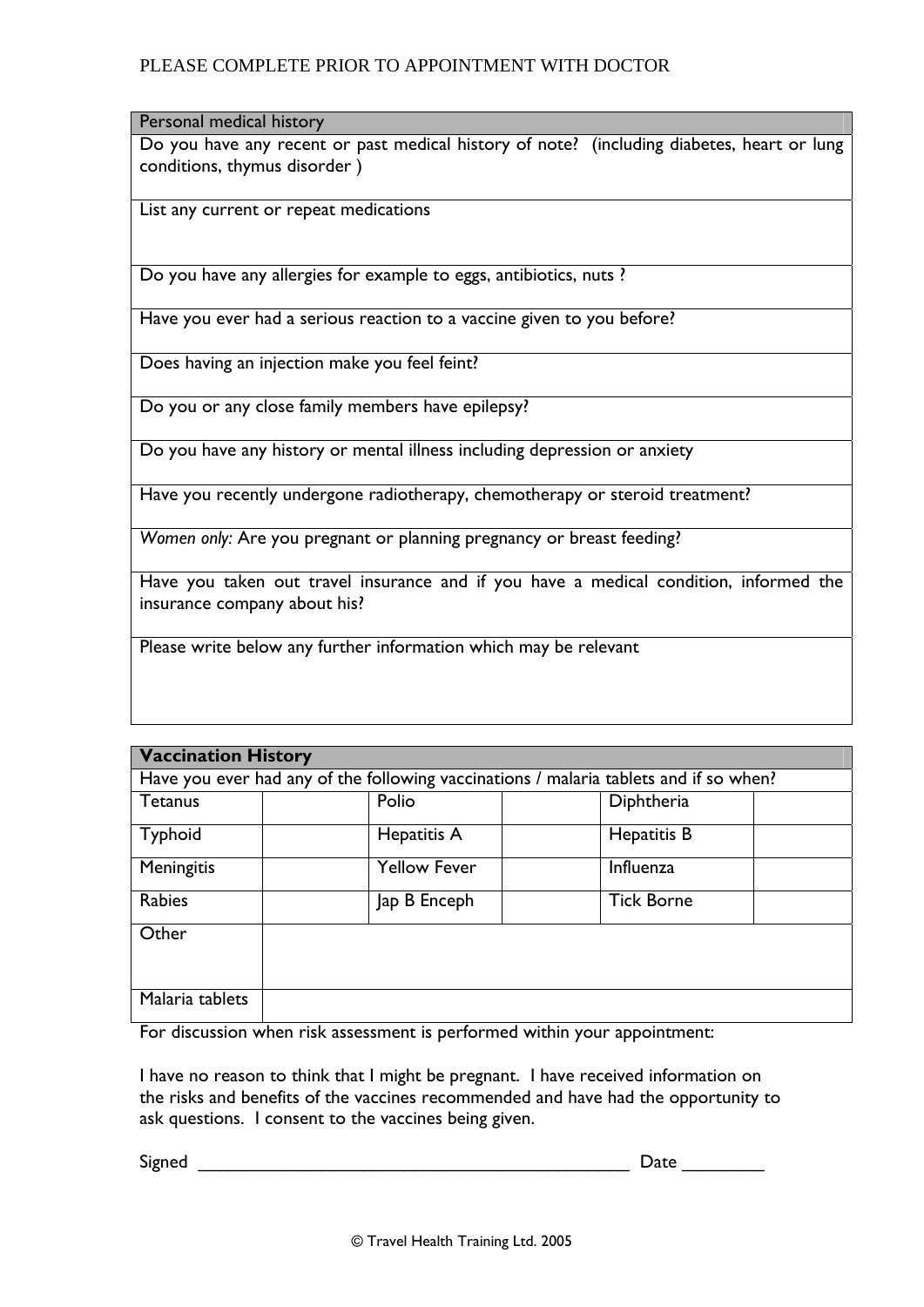## PLEASE COMPLETE PRIOR TO APPOINTMENT WITH DOCTOR

#### Personal medical history

Do you have any recent or past medical history of note? (including diabetes, heart or lung conditions, thymus disorder )

List any current or repeat medications

Do you have any allergies for example to eggs, antibiotics, nuts ?

Have you ever had a serious reaction to a vaccine given to you before?

Does having an injection make you feel feint?

Do you or any close family members have epilepsy?

Do you have any history or mental illness including depression or anxiety

Have you recently undergone radiotherapy, chemotherapy or steroid treatment?

*Women only:* Are you pregnant or planning pregnancy or breast feeding?

Have you taken out travel insurance and if you have a medical condition, informed the insurance company about his?

Please write below any further information which may be relevant

| <b>Vaccination History</b>                                                            |                     |                   |  |  |  |
|---------------------------------------------------------------------------------------|---------------------|-------------------|--|--|--|
| Have you ever had any of the following vaccinations / malaria tablets and if so when? |                     |                   |  |  |  |
| <b>Tetanus</b>                                                                        | Polio               | Diphtheria        |  |  |  |
| <b>Typhoid</b>                                                                        | Hepatitis A         | Hepatitis B       |  |  |  |
| Meningitis                                                                            | <b>Yellow Fever</b> | Influenza         |  |  |  |
| Rabies                                                                                | Jap B Enceph        | <b>Tick Borne</b> |  |  |  |
| Other                                                                                 |                     |                   |  |  |  |
| Malaria tablets                                                                       |                     |                   |  |  |  |

For discussion when risk assessment is performed within your appointment:

I have no reason to think that I might be pregnant. I have received information on the risks and benefits of the vaccines recommended and have had the opportunity to ask questions. I consent to the vaccines being given.

 $\mathsf{Signed}$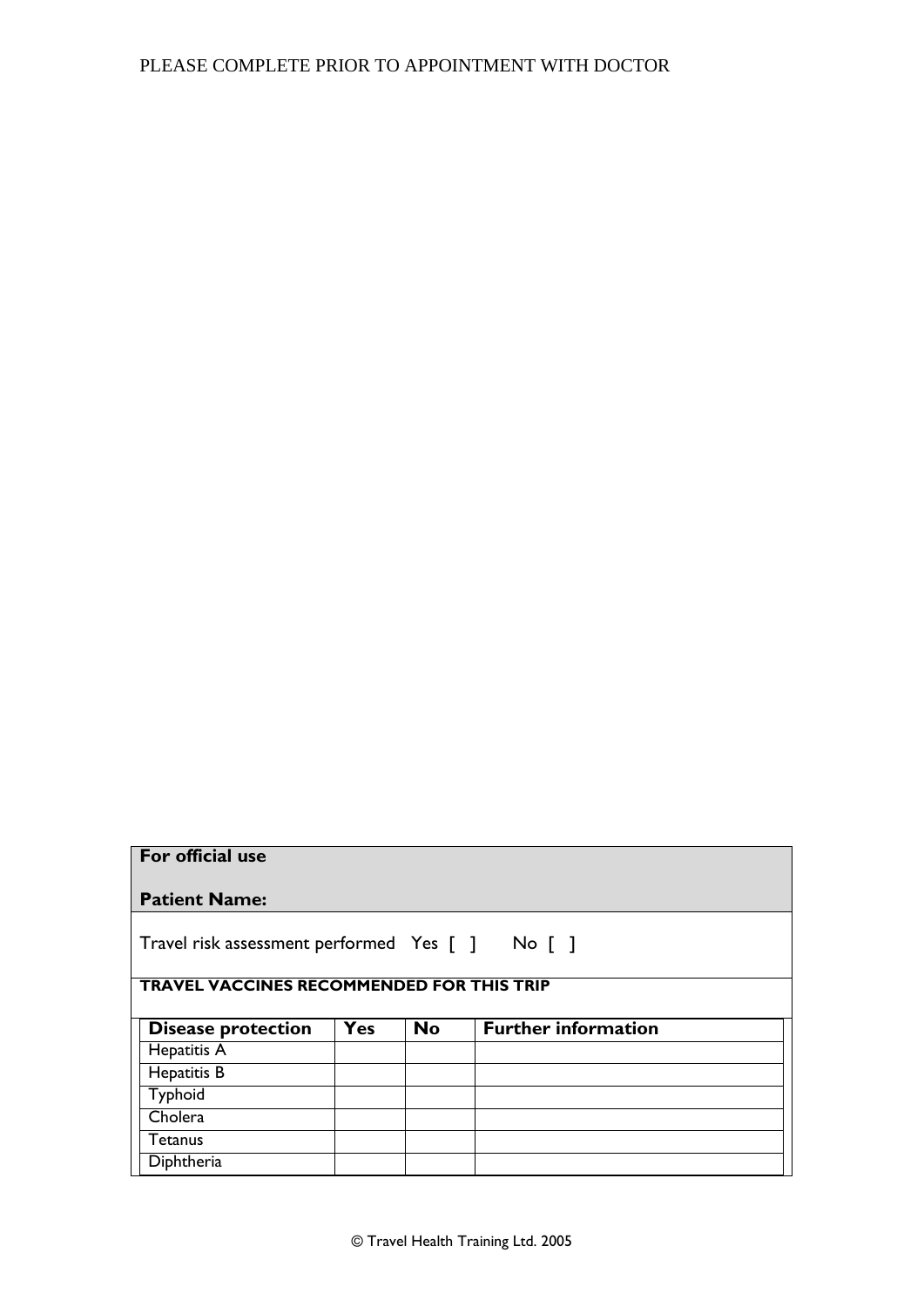|  |  | For official use |  |
|--|--|------------------|--|
|--|--|------------------|--|

| Travel risk assessment performed Yes [ ] No [ ] |  |  |  |  |
|-------------------------------------------------|--|--|--|--|
|-------------------------------------------------|--|--|--|--|

#### **TRAVEL VACCINES RECOMMENDED FOR THIS TRIP**

| <b>Disease protection</b> | Yes | <b>No</b> | <b>Further information</b> |  |
|---------------------------|-----|-----------|----------------------------|--|
| Hepatitis A               |     |           |                            |  |
| Hepatitis B               |     |           |                            |  |
| Typhoid                   |     |           |                            |  |
| Cholera                   |     |           |                            |  |
| Tetanus                   |     |           |                            |  |
| Diphtheria                |     |           |                            |  |